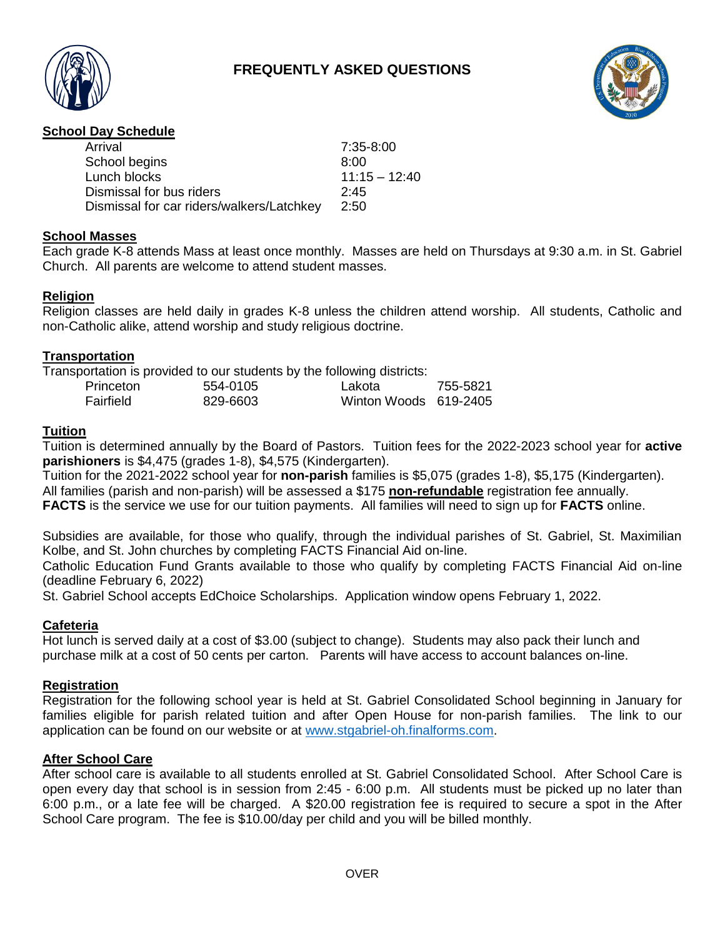# **FREQUENTLY ASKED QUESTIONS**





## **School Day Schedule**

| Arrival                                   | 7:35-8:00       |
|-------------------------------------------|-----------------|
| School begins                             | 8:00            |
| Lunch blocks                              | $11:15 - 12:40$ |
| Dismissal for bus riders                  | 2:45            |
| Dismissal for car riders/walkers/Latchkey | 2:50            |
|                                           |                 |

## **School Masses**

Each grade K-8 attends Mass at least once monthly. Masses are held on Thursdays at 9:30 a.m. in St. Gabriel Church. All parents are welcome to attend student masses.

## **Religion**

Religion classes are held daily in grades K-8 unless the children attend worship. All students, Catholic and non-Catholic alike, attend worship and study religious doctrine.

## **Transportation**

Transportation is provided to our students by the following districts:

| Princeton | 554-0105 | Lakota                | 755-5821 |
|-----------|----------|-----------------------|----------|
| Fairfield | 829-6603 | Winton Woods 619-2405 |          |

## **Tuition**

Tuition is determined annually by the Board of Pastors. Tuition fees for the 2022-2023 school year for **active parishioners** is \$4,475 (grades 1-8), \$4,575 (Kindergarten).

Tuition for the 2021-2022 school year for **non-parish** families is \$5,075 (grades 1-8), \$5,175 (Kindergarten). All families (parish and non-parish) will be assessed a \$175 **non-refundable** registration fee annually. **FACTS** is the service we use for our tuition payments.All families will need to sign up for **FACTS** online.

Subsidies are available, for those who qualify, through the individual parishes of St. Gabriel, St. Maximilian Kolbe, and St. John churches by completing FACTS Financial Aid on-line.

Catholic Education Fund Grants available to those who qualify by completing FACTS Financial Aid on-line (deadline February 6, 2022)

St. Gabriel School accepts EdChoice Scholarships. Application window opens February 1, 2022.

## **Cafeteria**

Hot lunch is served daily at a cost of \$3.00 (subject to change). Students may also pack their lunch and purchase milk at a cost of 50 cents per carton. Parents will have access to account balances on-line.

#### **Registration**

Registration for the following school year is held at St. Gabriel Consolidated School beginning in January for families eligible for parish related tuition and after Open House for non-parish families. The link to our application can be found on our website or at [www.stgabriel-oh.finalforms.com.](http://www.stgabriel-oh.finalforms.com/)

#### **After School Care**

After school care is available to all students enrolled at St. Gabriel Consolidated School. After School Care is open every day that school is in session from 2:45 - 6:00 p.m. All students must be picked up no later than 6:00 p.m., or a late fee will be charged. A \$20.00 registration fee is required to secure a spot in the After School Care program. The fee is \$10.00/day per child and you will be billed monthly.